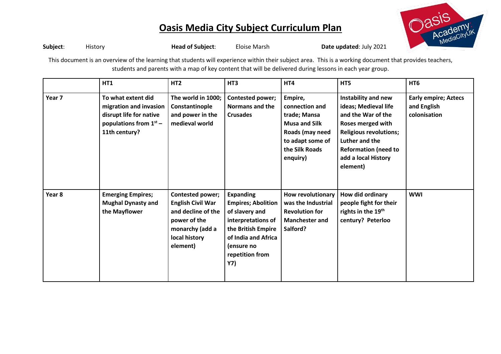

**Subject:** History **Head of Subject:** Eloise Marsh **Date updated**: July 2021

This document is an overview of the learning that students will experience within their subject area. This is a working document that provides teachers, students and parents with a map of key content that will be delivered during lessons in each year group.

|        | HT1                                                                                                                  | HT <sub>2</sub>                                                                                                                    | HT <sub>3</sub>                                                                                                                                                            | HT4                                                                                                                                    | HT5                                                                                                                                                                                                         | HT <sub>6</sub>                                            |
|--------|----------------------------------------------------------------------------------------------------------------------|------------------------------------------------------------------------------------------------------------------------------------|----------------------------------------------------------------------------------------------------------------------------------------------------------------------------|----------------------------------------------------------------------------------------------------------------------------------------|-------------------------------------------------------------------------------------------------------------------------------------------------------------------------------------------------------------|------------------------------------------------------------|
| Year 7 | To what extent did<br>migration and invasion<br>disrupt life for native<br>populations from $1st$ –<br>11th century? | The world in 1000;<br>Constantinople<br>and power in the<br>medieval world                                                         | Contested power;<br>Normans and the<br><b>Crusades</b>                                                                                                                     | Empire,<br>connection and<br>trade; Mansa<br><b>Musa and Silk</b><br>Roads (may need<br>to adapt some of<br>the Silk Roads<br>enquiry) | Instability and new<br>ideas; Medieval life<br>and the War of the<br>Roses merged with<br><b>Religious revolutions;</b><br>Luther and the<br><b>Reformation (need to</b><br>add a local History<br>element) | <b>Early empire; Aztecs</b><br>and English<br>colonisation |
| Year 8 | <b>Emerging Empires;</b><br><b>Mughal Dynasty and</b><br>the Mayflower                                               | Contested power;<br><b>English Civil War</b><br>and decline of the<br>power of the<br>monarchy (add a<br>local history<br>element) | <b>Expanding</b><br><b>Empires; Abolition</b><br>of slavery and<br>interpretations of<br>the British Empire<br>of India and Africa<br>(ensure no<br>repetition from<br>Y7) | How revolutionary<br>was the Industrial<br><b>Revolution for</b><br><b>Manchester and</b><br>Salford?                                  | How did ordinary<br>people fight for their<br>rights in the 19 <sup>th</sup><br>century? Peterloo                                                                                                           | <b>WWI</b>                                                 |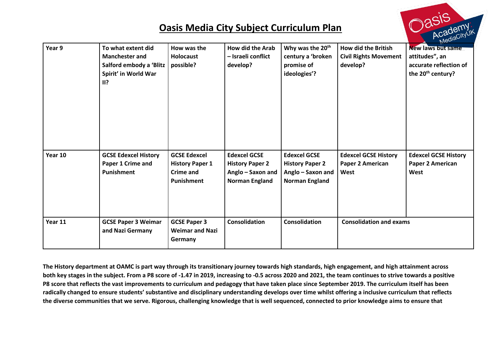|         |                             |                        |                         |                              |                                | $W_{\rm{V}}$                  |
|---------|-----------------------------|------------------------|-------------------------|------------------------------|--------------------------------|-------------------------------|
| Year 9  | To what extent did          | How was the            | <b>How did the Arab</b> | Why was the 20 <sup>th</sup> | <b>How did the British</b>     | <b>New laws but same</b>      |
|         | <b>Manchester and</b>       | <b>Holocaust</b>       | - Israeli conflict      | century a 'broken            | <b>Civil Rights Movement</b>   | attitudes", an                |
|         | Salford embody a 'Blitz     | possible?              | develop?                | promise of                   | develop?                       | accurate reflection of        |
|         | Spirit' in World War        |                        |                         | ideologies'?                 |                                | the 20 <sup>th</sup> century? |
|         | II?                         |                        |                         |                              |                                |                               |
|         |                             |                        |                         |                              |                                |                               |
|         |                             |                        |                         |                              |                                |                               |
|         |                             |                        |                         |                              |                                |                               |
|         |                             |                        |                         |                              |                                |                               |
|         |                             |                        |                         |                              |                                |                               |
|         |                             |                        |                         |                              |                                |                               |
|         |                             |                        |                         |                              |                                |                               |
| Year 10 | <b>GCSE Edexcel History</b> | <b>GCSE Edexcel</b>    | <b>Edexcel GCSE</b>     | <b>Edexcel GCSE</b>          | <b>Edexcel GCSE History</b>    | <b>Edexcel GCSE History</b>   |
|         | Paper 1 Crime and           | <b>History Paper 1</b> | <b>History Paper 2</b>  | <b>History Paper 2</b>       | <b>Paper 2 American</b>        | Paper 2 American              |
|         | Punishment                  | <b>Crime and</b>       | Anglo - Saxon and       | Anglo - Saxon and            | West                           | West                          |
|         |                             | <b>Punishment</b>      | <b>Norman England</b>   | <b>Norman England</b>        |                                |                               |
|         |                             |                        |                         |                              |                                |                               |
|         |                             |                        |                         |                              |                                |                               |
|         |                             |                        |                         |                              |                                |                               |
|         |                             |                        |                         |                              |                                |                               |
| Year 11 | <b>GCSE Paper 3 Weimar</b>  | <b>GCSE Paper 3</b>    | <b>Consolidation</b>    | <b>Consolidation</b>         | <b>Consolidation and exams</b> |                               |
|         | and Nazi Germany            | <b>Weimar and Nazi</b> |                         |                              |                                |                               |
|         |                             | Germany                |                         |                              |                                |                               |

**The History department at OAMC is part way through its transitionary journey towards high standards, high engagement, and high attainment across both key stages in the subject. From a P8 score of -1.47 in 2019, increasing to -0.5 across 2020 and 2021, the team continues to strive towards a positive P8 score that reflects the vast improvements to curriculum and pedagogy that have taken place since September 2019. The curriculum itself has been radically changed to ensure students' substantive and disciplinary understanding develops over time whilst offering a inclusive curriculum that reflects the diverse communities that we serve. Rigorous, challenging knowledge that is well sequenced, connected to prior knowledge aims to ensure that**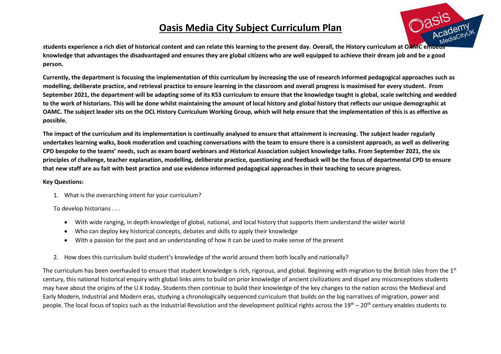

students experience a rich diet of historical content and can relate this learning to the present day. Overall, the History curriculum at OAMC embed **knowledge that advantages the disadvantaged and ensures they are global citizens who are well equipped to achieve their dream job and be a good person.**

**Currently, the department is focusing the implementation of this curriculum by increasing the use of research informed pedagogical approaches such as modelling, deliberate practice, and retrieval practice to ensure learning in the classroom and overall progress is maximised for every student. From September 2021, the department will be adapting some of its KS3 curriculum to ensure that the knowledge taught is global, scale switching and wedded to the work of historians. This will be done whilst maintaining the amount of local history and global history that reflects our unique demographic at OAMC. The subject leader sits on the OCL History Curriculum Working Group, which will help ensure that the implementation of this is as effective as possible.** 

**The impact of the curriculum and its implementation is continually analysed to ensure that attainment is increasing. The subject leader regularly undertakes learning walks, book moderation and coaching conversations with the team to ensure there is a consistent approach, as well as delivering CPD bespoke to the teams' needs, such as exam board webinars and Historical Association subject knowledge talks. From September 2021, the six principles of challenge, teacher explanation, modelling, deliberate practice, questioning and feedback will be the focus of departmental CPD to ensure that new staff are au fait with best practice and use evidence informed pedagogical approaches in their teaching to secure progress.** 

#### **Key Questions:**

1. What is the overarching intent for your curriculum?

To develop historians . . .

- With wide ranging, in depth knowledge of global, national, and local history that supports them understand the wider world
- Who can deploy key historical concepts, debates and skills to apply their knowledge
- With a passion for the past and an understanding of how it can be used to make sense of the present
- 2. How does this curriculum build student's knowledge of the world around them both locally and nationally?

The curriculum has been overhauled to ensure that student knowledge is rich, rigorous, and global. Beginning with migration to the British Isles from the 1st century, this national historical enquiry with global links aims to build on prior knowledge of ancient civilizations and dispel any misconceptions students may have about the origins of the U.K today. Students then continue to build their knowledge of the key changes to the nation across the Medieval and Early Modern, Industrial and Modern eras, studying a chronologically sequenced curriculum that builds on the big narratives of migration, power and people. The local focus of topics such as the Industrial Revolution and the development political rights across the 19<sup>th</sup> – 20<sup>th</sup> century enables students to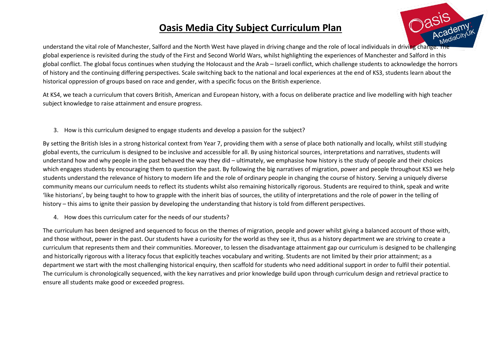

understand the vital role of Manchester, Salford and the North West have played in driving change and the role of local individuals in driving change. The global experience is revisited during the study of the First and Second World Wars, whilst highlighting the experiences of Manchester and Salford in this global conflict. The global focus continues when studying the Holocaust and the Arab – Israeli conflict, which challenge students to acknowledge the horrors of history and the continuing differing perspectives. Scale switching back to the national and local experiences at the end of KS3, students learn about the historical oppression of groups based on race and gender, with a specific focus on the British experience.

At KS4, we teach a curriculum that covers British, American and European history, with a focus on deliberate practice and live modelling with high teacher subject knowledge to raise attainment and ensure progress.

3. How is this curriculum designed to engage students and develop a passion for the subject?

By setting the British Isles in a strong historical context from Year 7, providing them with a sense of place both nationally and locally, whilst still studying global events, the curriculum is designed to be inclusive and accessible for all. By using historical sources, interpretations and narratives, students will understand how and why people in the past behaved the way they did – ultimately, we emphasise how history is the study of people and their choices which engages students by encouraging them to question the past. By following the big narratives of migration, power and people throughout KS3 we help students understand the relevance of history to modern life and the role of ordinary people in changing the course of history. Serving a uniquely diverse community means our curriculum needs to reflect its students whilst also remaining historically rigorous. Students are required to think, speak and write 'like historians', by being taught to how to grapple with the inherit bias of sources, the utility of interpretations and the role of power in the telling of history – this aims to ignite their passion by developing the understanding that history is told from different perspectives.

4. How does this curriculum cater for the needs of our students?

The curriculum has been designed and sequenced to focus on the themes of migration, people and power whilst giving a balanced account of those with, and those without, power in the past. Our students have a curiosity for the world as they see it, thus as a history department we are striving to create a curriculum that represents them and their communities. Moreover, to lessen the disadvantage attainment gap our curriculum is designed to be challenging and historically rigorous with a literacy focus that explicitly teaches vocabulary and writing. Students are not limited by their prior attainment; as a department we start with the most challenging historical enquiry, then scaffold for students who need additional support in order to fulfil their potential. The curriculum is chronologically sequenced, with the key narratives and prior knowledge build upon through curriculum design and retrieval practice to ensure all students make good or exceeded progress.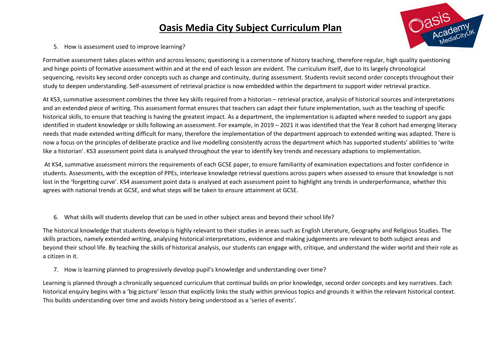

5. How is assessment used to improve learning?

Formative assessment takes places within and across lessons; questioning is a cornerstone of history teaching, therefore regular, high quality questioning and hinge points of formative assessment within and at the end of each lesson are evident. The curriculum itself, due to its largely chronological sequencing, revisits key second order concepts such as change and continuity, during assessment. Students revisit second order concepts throughout their study to deepen understanding. Self-assessment of retrieval practice is now embedded within the department to support wider retrieval practice.

At KS3, summative assessment combines the three key skills required from a historian – retrieval practice, analysis of historical sources and interpretations and an extended piece of writing. This assessment format ensures that teachers can adapt their future implementation, such as the teaching of specific historical skills, to ensure that teaching is having the greatest impact. As a department, the implementation is adapted where needed to support any gaps identified in student knowledge or skills following an assessment. For example, in 2019 – 2021 it was identified that the Year 8 cohort had emerging literacy needs that made extended writing difficult for many, therefore the implementation of the department approach to extended writing was adapted. There is now a focus on the principles of deliberate practice and live modelling consistently across the department which has supported students' abilities to 'write like a historian'. KS3 assessment point data is analysed throughout the year to identify key trends and necessary adaptions to implementation.

At KS4, summative assessment mirrors the requirements of each GCSE paper, to ensure familiarity of examination expectations and foster confidence in students. Assessments, with the exception of PPEs, interleave knowledge retrieval questions across papers when assessed to ensure that knowledge is not lost in the 'forgetting curve'. KS4 assessment point data is analysed at each assessment point to highlight any trends in underperformance, whether this agrees with national trends at GCSE, and what steps will be taken to ensure attainment at GCSE.

6. What skills will students develop that can be used in other subject areas and beyond their school life?

The historical knowledge that students develop is highly relevant to their studies in areas such as English Literature, Geography and Religious Studies. The skills practices, namely extended writing, analysing historical interpretations, evidence and making judgements are relevant to both subject areas and beyond their school life. By teaching the skills of historical analysis, our students can engage with, critique, and understand the wider world and their role as a citizen in it.

7. How is learning planned to progressively develop pupil's knowledge and understanding over time?

Learning is planned through a chronically sequenced curriculum that continual builds on prior knowledge, second order concepts and key narratives. Each historical enquiry begins with a 'big picture' lesson that explicitly links the study within previous topics and grounds it within the relevant historical context. This builds understanding over time and avoids history being understood as a 'series of events'.